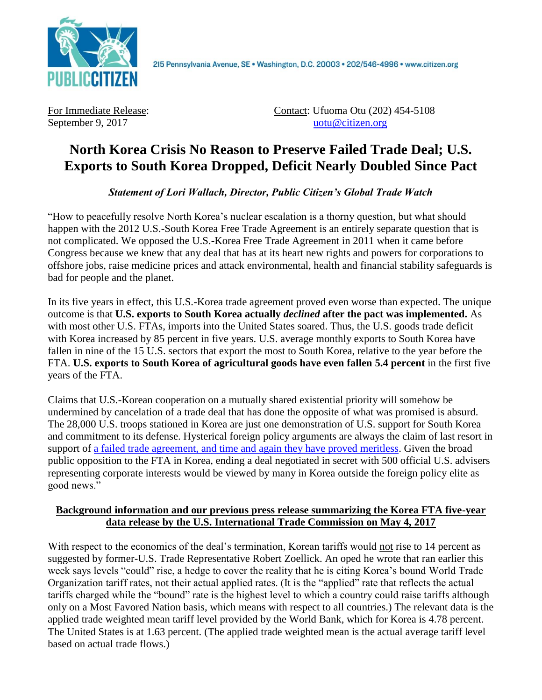

2I5 Pennsylvania Avenue, SE · Washington, D.C. 20003 · 202/546-4996 · www.citizen.org

For Immediate Release: Contact: Ufuoma Otu (202) 454-5108 September 9, 2017 uotu @citizen.org

## **North Korea Crisis No Reason to Preserve Failed Trade Deal; U.S. Exports to South Korea Dropped, Deficit Nearly Doubled Since Pact**

*Statement of Lori Wallach, Director, Public Citizen's Global Trade Watch*

"How to peacefully resolve North Korea's nuclear escalation is a thorny question, but what should happen with the 2012 U.S.-South Korea Free Trade Agreement is an entirely separate question that is not complicated. We opposed the U.S.-Korea Free Trade Agreement in 2011 when it came before Congress because we knew that any deal that has at its heart new rights and powers for corporations to offshore jobs, raise medicine prices and attack environmental, health and financial stability safeguards is bad for people and the planet.

In its five years in effect, this U.S.-Korea trade agreement proved even worse than expected. The unique outcome is that **U.S. exports to South Korea actually** *declined* **after the pact was implemented.** As with most other U.S. FTAs, imports into the United States soared. Thus, the U.S. goods trade deficit with Korea increased by 85 percent in five years. U.S. average monthly exports to South Korea have fallen in nine of the 15 U.S. sectors that export the most to South Korea, relative to the year before the FTA. **U.S. exports to South Korea of agricultural goods have even fallen 5.4 percent** in the first five years of the FTA.

Claims that U.S.-Korean cooperation on a mutually shared existential priority will somehow be undermined by cancelation of a trade deal that has done the opposite of what was promised is absurd. The 28,000 U.S. troops stationed in Korea are just one demonstration of U.S. support for South Korea and commitment to its defense. Hysterical foreign policy arguments are always the claim of last resort in support of a failed [trade agreement, and time and again they have proved meritless.](https://www.citizen.org/sites/default/files/tpp-demise-trade-agreement-foreign-policy-myths.pdf) Given the broad public opposition to the FTA in Korea, ending a deal negotiated in secret with 500 official U.S. advisers representing corporate interests would be viewed by many in Korea outside the foreign policy elite as good news."

## **Background information and our previous press release summarizing the Korea FTA five-year data release by the U.S. International Trade Commission on May 4, 2017**

With respect to the economics of the deal's termination, Korean tariffs would not rise to 14 percent as suggested by former-U.S. Trade Representative Robert Zoellick. An oped he wrote that ran earlier this week says levels "could" rise, a hedge to cover the reality that he is citing Korea's bound World Trade Organization tariff rates, not their actual applied rates. (It is the "applied" rate that reflects the actual tariffs charged while the "bound" rate is the highest level to which a country could raise tariffs although only on a Most Favored Nation basis, which means with respect to all countries.) The relevant data is the applied trade weighted mean tariff level provided by the World Bank, which for Korea is 4.78 percent. The United States is at 1.63 percent. (The applied trade weighted mean is the actual average tariff level based on actual trade flows.)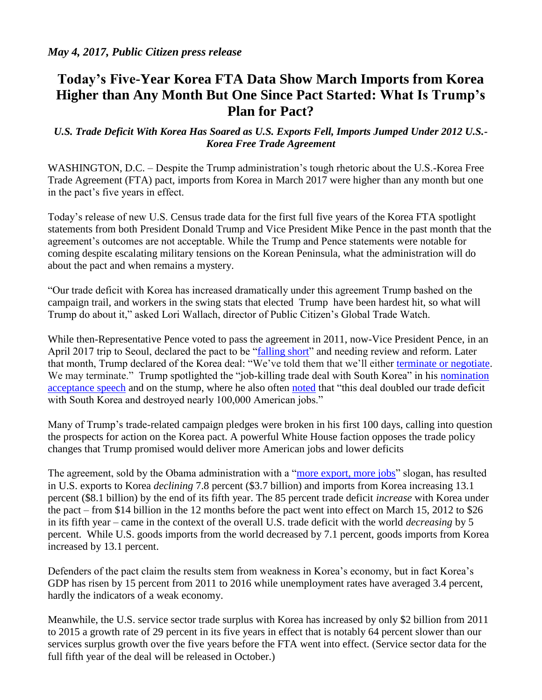## **Today's Five-Year Korea FTA Data Show March Imports from Korea Higher than Any Month But One Since Pact Started: What Is Trump's Plan for Pact?**

## *U.S. Trade Deficit With Korea Has Soared as U.S. Exports Fell, Imports Jumped Under 2012 U.S.- Korea Free Trade Agreement*

WASHINGTON, D.C. – Despite the Trump administration's tough rhetoric about the U.S.-Korea Free Trade Agreement (FTA) pact, imports from Korea in March 2017 were higher than any month but one in the pact's five years in effect.

Today's release of new U.S. Census trade data for the first full five years of the Korea FTA spotlight statements from both President Donald Trump and Vice President Mike Pence in the past month that the agreement's outcomes are not acceptable. While the Trump and Pence statements were notable for coming despite escalating military tensions on the Korean Peninsula, what the administration will do about the pact and when remains a mystery.

"Our trade deficit with Korea has increased dramatically under this agreement Trump bashed on the campaign trail, and workers in the swing stats that elected Trump have been hardest hit, so what will Trump do about it," asked Lori Wallach, director of Public Citizen's Global Trade Watch.

While then-Representative Pence voted to pass the agreement in 2011, now-Vice President Pence, in an April 2017 trip to Seoul, declared the pact to be ["falling short"](https://www.bloomberg.com/politics/articles/2017-04-18/u-s-free-trade-deal-with-south-korea-falling-short-pence-warns) and needing review and reform. Later that month, Trump declared of the Korea deal: "We've told them that we'll either [terminate or negotiate.](https://www.washingtonpost.com/politics/trump-we-may-terminate-us-south-korea-trade-agreement/2017/04/27/75ad1218-2bad-11e7-a616-d7c8a68c1a66_story.html?utm_term=.dbb1d42f1044) We may terminate." Trump spotlighted the "job-killing trade deal with South Korea" in his nomination [acceptance speech](https://assets.donaldjtrump.com/DJT_Acceptance_Speech.pdf) and on the stump, where he also often [noted](http://www.politico.com/story/2016/06/full-transcript-trump-job-plan-speech-224891%20job-killing%20deal%20with%20South%20Korea.) that "this deal doubled our trade deficit with South Korea and destroyed nearly 100,000 American jobs."

Many of Trump's trade-related campaign pledges were broken in his first 100 days, calling into question the prospects for action on the Korea pact. A powerful White House faction opposes the trade policy changes that Trump promised would deliver more American jobs and lower deficits

The agreement, sold by the Obama administration with a ["more export, more jobs"](https://ustr.gov/uskoreaFTA) slogan, has resulted in U.S. exports to Korea *declining* 7.8 percent (\$3.7 billion) and imports from Korea increasing 13.1 percent (\$8.1 billion) by the end of its fifth year. The 85 percent trade deficit *increase* with Korea under the pact – from \$14 billion in the 12 months before the pact went into effect on March 15, 2012 to \$26 in its fifth year – came in the context of the overall U.S. trade deficit with the world *decreasing* by 5 percent. While U.S. goods imports from the world decreased by 7.1 percent, goods imports from Korea increased by 13.1 percent.

Defenders of the pact claim the results stem from weakness in Korea's economy, but in fact Korea's GDP has risen by 15 percent from 2011 to 2016 while unemployment rates have averaged 3.4 percent, hardly the indicators of a weak economy.

Meanwhile, the U.S. service sector trade surplus with Korea has increased by only \$2 billion from 2011 to 2015 a growth rate of 29 percent in its five years in effect that is notably 64 percent slower than our services surplus growth over the five years before the FTA went into effect. (Service sector data for the full fifth year of the deal will be released in October.)